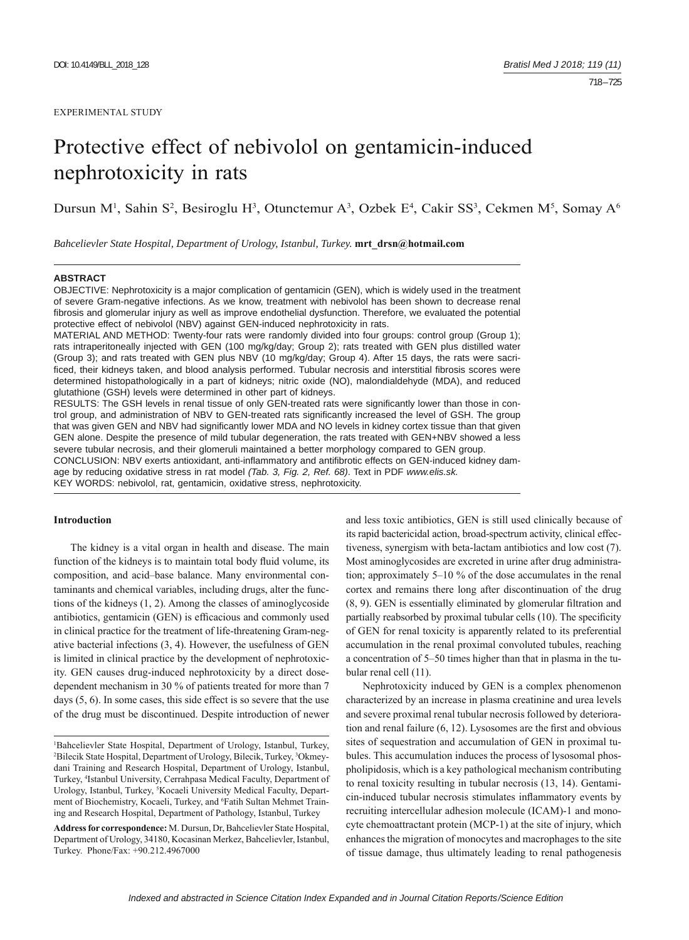# Protective effect of nebivolol on gentamicin-induced nephrotoxicity in rats

Dursun M<sup>1</sup>, Sahin S<sup>2</sup>, Besiroglu H<sup>3</sup>, Otunctemur A<sup>3</sup>, Ozbek E<sup>4</sup>, Cakir SS<sup>3</sup>, Cekmen M<sup>5</sup>, Somay A<sup>6</sup>

*Bahcelievler State Hospital, Department of Urology, Istanbul, Turkey.* **mrt\_drsn@hotmail.com**

#### **ABSTRACT**

OBJECTIVE: Nephrotoxicity is a major complication of gentamicin (GEN), which is widely used in the treatment of severe Gram-negative infections. As we know, treatment with nebivolol has been shown to decrease renal fibrosis and glomerular injury as well as improve endothelial dysfunction. Therefore, we evaluated the potential protective effect of nebivolol (NBV) against GEN-induced nephrotoxicity in rats.

MATERIAL AND METHOD: Twenty-four rats were randomly divided into four groups: control group (Group 1); rats intraperitoneally injected with GEN (100 mg/kg/day; Group 2); rats treated with GEN plus distilled water (Group 3); and rats treated with GEN plus NBV (10 mg/kg/day; Group 4). After 15 days, the rats were sacrificed, their kidneys taken, and blood analysis performed. Tubular necrosis and interstitial fibrosis scores were determined histopathologically in a part of kidneys; nitric oxide (NO), malondialdehyde (MDA), and reduced glutathione (GSH) levels were determined in other part of kidneys.

RESULTS: The GSH levels in renal tissue of only GEN-treated rats were significantly lower than those in control group, and administration of NBV to GEN-treated rats significantly increased the level of GSH. The group that was given GEN and NBV had significantly lower MDA and NO levels in kidney cortex tissue than that given GEN alone. Despite the presence of mild tubular degeneration, the rats treated with GEN+NBV showed a less severe tubular necrosis, and their glomeruli maintained a better morphology compared to GEN group.

CONCLUSION: NBV exerts antioxidant, anti-inflammatory and antifibrotic effects on GEN-induced kidney damage by reducing oxidative stress in rat model *(Tab. 3, Fig. 2, Ref. 68)*. Text in PDF *www.elis.sk.* KEY WORDS: nebivolol, rat, gentamicin, oxidative stress, nephrotoxicity.

## **Introduction**

The kidney is a vital organ in health and disease. The main function of the kidneys is to maintain total body fluid volume, its composition, and acid–base balance. Many environmental contaminants and chemical variables, including drugs, alter the functions of the kidneys (1, 2). Among the classes of aminoglycoside antibiotics, gentamicin (GEN) is efficacious and commonly used in clinical practice for the treatment of life-threatening Gram-negative bacterial infections (3, 4). However, the usefulness of GEN is limited in clinical practice by the development of nephrotoxicity. GEN causes drug-induced nephrotoxicity by a direct dosedependent mechanism in 30 % of patients treated for more than 7 days (5, 6). In some cases, this side effect is so severe that the use of the drug must be discontinued. Despite introduction of newer

1 Bahcelievler State Hospital, Department of Urology, Istanbul, Turkey, <sup>2</sup>Bilecik State Hospital, Department of Urology, Bilecik, Turkey, <sup>3</sup>Okmeydani Training and Research Hospital, Department of Urology, Istanbul, Turkey, 4 Istanbul University, Cerrahpasa Medical Faculty, Department of Urology, Istanbul, Turkey, <sup>5</sup>Kocaeli University Medical Faculty, Department of Biochemistry, Kocaeli, Turkey, and <sup>6</sup>Fatih Sultan Mehmet Training and Research Hospital, Department of Pathology, Istanbul, Turkey

**Address for correspondence:** M. Dursun, Dr, Bahcelievler State Hospital, Department of Urology, 34180, Kocasinan Merkez, Bahcelievler, Istanbul, Turkey. Phone/Fax: +90.212.4967000

and less toxic antibiotics, GEN is still used clinically because of its rapid bactericidal action, broad-spectrum activity, clinical effectiveness, synergism with beta-lactam antibiotics and low cost (7). Most aminoglycosides are excreted in urine after drug administration; approximately 5–10 % of the dose accumulates in the renal cortex and remains there long after discontinuation of the drug  $(8, 9)$ . GEN is essentially eliminated by glomerular filtration and partially reabsorbed by proximal tubular cells (10). The specificity of GEN for renal toxicity is apparently related to its preferential accumulation in the renal proximal convoluted tubules, reaching a concentration of 5–50 times higher than that in plasma in the tubular renal cell (11).

Nephrotoxicity induced by GEN is a complex phenomenon characterized by an increase in plasma creatinine and urea levels and severe proximal renal tubular necrosis followed by deterioration and renal failure  $(6, 12)$ . Lysosomes are the first and obvious sites of sequestration and accumulation of GEN in proximal tubules. This accumulation induces the process of lysosomal phospholipidosis, which is a key pathological mechanism contributing to renal toxicity resulting in tubular necrosis (13, 14). Gentamicin-induced tubular necrosis stimulates inflammatory events by recruiting intercellular adhesion molecule (ICAM)-1 and monocyte chemoattractant protein (MCP-1) at the site of injury, which enhances the migration of monocytes and macrophages to the site of tissue damage, thus ultimately leading to renal pathogenesis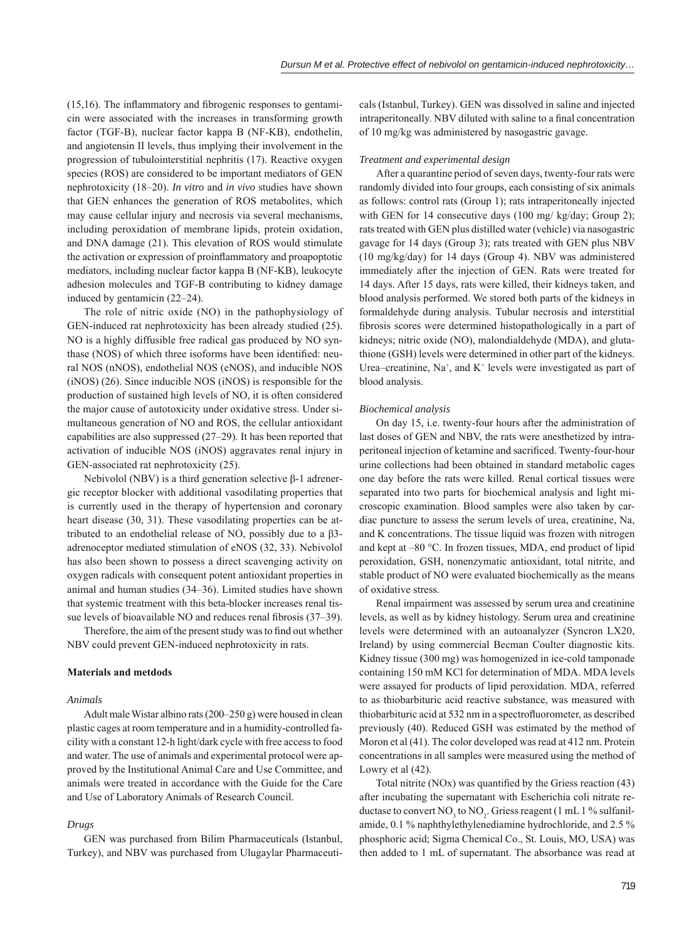$(15,16)$ . The inflammatory and fibrogenic responses to gentamicin were associated with the increases in transforming growth factor (TGF-B), nuclear factor kappa B (NF-KB), endothelin, and angiotensin II levels, thus implying their involvement in the progression of tubulointerstitial nephritis (17). Reactive oxygen species (ROS) are considered to be important mediators of GEN nephrotoxicity (18–20). *In vitro* and *in vivo* studies have shown that GEN enhances the generation of ROS metabolites, which may cause cellular injury and necrosis via several mechanisms, including peroxidation of membrane lipids, protein oxidation, and DNA damage (21). This elevation of ROS would stimulate the activation or expression of proinflammatory and proapoptotic mediators, including nuclear factor kappa B (NF-KB), leukocyte adhesion molecules and TGF-B contributing to kidney damage induced by gentamicin (22–24).

The role of nitric oxide (NO) in the pathophysiology of GEN-induced rat nephrotoxicity has been already studied (25). NO is a highly diffusible free radical gas produced by NO synthase (NOS) of which three isoforms have been identified: neural NOS (nNOS), endothelial NOS (eNOS), and inducible NOS (iNOS) (26). Since inducible NOS (iNOS) is responsible for the production of sustained high levels of NO, it is often considered the major cause of autotoxicity under oxidative stress. Under simultaneous generation of NO and ROS, the cellular antioxidant capabilities are also suppressed (27–29). It has been reported that activation of inducible NOS (iNOS) aggravates renal injury in GEN-associated rat nephrotoxicity (25).

Nebivolol (NBV) is a third generation selective β-1 adrenergic receptor blocker with additional vasodilating properties that is currently used in the therapy of hypertension and coronary heart disease (30, 31). These vasodilating properties can be attributed to an endothelial release of NO, possibly due to a β3 adrenoceptor mediated stimulation of eNOS (32, 33). Nebivolol has also been shown to possess a direct scavenging activity on oxygen radicals with consequent potent antioxidant properties in animal and human studies (34–36). Limited studies have shown that systemic treatment with this beta-blocker increases renal tissue levels of bioavailable NO and reduces renal fibrosis (37–39).

Therefore, the aim of the present study was to find out whether NBV could prevent GEN-induced nephrotoxicity in rats.

#### **Materials and metdods**

#### *Animals*

Adult male Wistar albino rats (200–250 g) were housed in clean plastic cages at room temperature and in a humidity-controlled facility with a constant 12-h light/dark cycle with free access to food and water. The use of animals and experimental protocol were approved by the Institutional Animal Care and Use Committee, and animals were treated in accordance with the Guide for the Care and Use of Laboratory Animals of Research Council.

## *Drugs*

GEN was purchased from Bilim Pharmaceuticals (Istanbul, Turkey), and NBV was purchased from Ulugaylar Pharmaceuti-

cals (Istanbul, Turkey). GEN was dissolved in saline and injected intraperitoneally. NBV diluted with saline to a final concentration of 10 mg/kg was administered by nasogastric gavage.

#### *Treatment and experimental design*

After a quarantine period of seven days, twenty-four rats were randomly divided into four groups, each consisting of six animals as follows: control rats (Group 1); rats intraperitoneally injected with GEN for 14 consecutive days (100 mg/ kg/day; Group 2); rats treated with GEN plus distilled water (vehicle) via nasogastric gavage for 14 days (Group 3); rats treated with GEN plus NBV (10 mg/kg/day) for 14 days (Group 4). NBV was administered immediately after the injection of GEN. Rats were treated for 14 days. After 15 days, rats were killed, their kidneys taken, and blood analysis performed. We stored both parts of the kidneys in formaldehyde during analysis. Tubular necrosis and interstitial fibrosis scores were determined histopathologically in a part of kidneys; nitric oxide (NO), malondialdehyde (MDA), and glutathione (GSH) levels were determined in other part of the kidneys. Urea–creatinine,  $Na^+$ , and  $K^+$  levels were investigated as part of blood analysis.

#### *Biochemical analysis*

On day 15, i.e. twenty-four hours after the administration of last doses of GEN and NBV, the rats were anesthetized by intraperitoneal injection of ketamine and sacrificed. Twenty-four-hour urine collections had been obtained in standard metabolic cages one day before the rats were killed. Renal cortical tissues were separated into two parts for biochemical analysis and light microscopic examination. Blood samples were also taken by cardiac puncture to assess the serum levels of urea, creatinine, Na, and K concentrations. The tissue liquid was frozen with nitrogen and kept at  $-80$  °C. In frozen tissues, MDA, end product of lipid peroxidation, GSH, nonenzymatic antioxidant, total nitrite, and stable product of NO were evaluated biochemically as the means of oxidative stress.

Renal impairment was assessed by serum urea and creatinine levels, as well as by kidney histology. Serum urea and creatinine levels were determined with an autoanalyzer (Syncron LX20, Ireland) by using commercial Becman Coulter diagnostic kits. Kidney tissue (300 mg) was homogenized in ice-cold tamponade containing 150 mM KCl for determination of MDA. MDA levels were assayed for products of lipid peroxidation. MDA, referred to as thiobarbituric acid reactive substance, was measured with thiobarbituric acid at 532 nm in a spectrofluorometer, as described previously (40). Reduced GSH was estimated by the method of Moron et al (41). The color developed was read at 412 nm. Protein concentrations in all samples were measured using the method of Lowry et al (42).

Total nitrite  $(NOx)$  was quantified by the Griess reaction  $(43)$ after incubating the supernatant with Escherichia coli nitrate reductase to convert NO<sub>3</sub> to NO<sub>2</sub>. Griess reagent (1 mL 1 % sulfanilamide, 0.1 % naphthylethylenediamine hydrochloride, and 2.5 % phosphoric acid; Sigma Chemical Co., St. Louis, MO, USA) was then added to 1 mL of supernatant. The absorbance was read at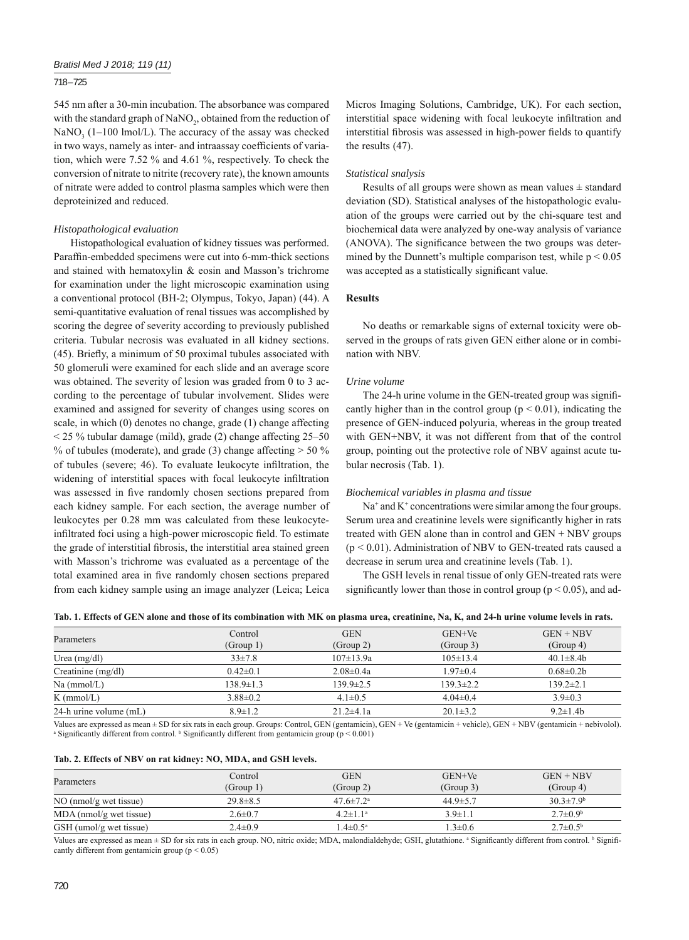### 718 – 725

545 nm after a 30-min incubation. The absorbance was compared with the standard graph of  $\text{NaNO}_2$ , obtained from the reduction of NaNO<sub>3</sub> (1–100 lmol/L). The accuracy of the assay was checked in two ways, namely as inter- and intraassay coefficients of variation, which were 7.52 % and 4.61 %, respectively. To check the conversion of nitrate to nitrite (recovery rate), the known amounts of nitrate were added to control plasma samples which were then deproteinized and reduced.

## *Histopathological evaluation*

Histopathological evaluation of kidney tissues was performed. Paraffin-embedded specimens were cut into 6-mm-thick sections and stained with hematoxylin & eosin and Masson's trichrome for examination under the light microscopic examination using a conventional protocol (BH-2; Olympus, Tokyo, Japan) (44). A semi-quantitative evaluation of renal tissues was accomplished by scoring the degree of severity according to previously published criteria. Tubular necrosis was evaluated in all kidney sections.  $(45)$ . Briefly, a minimum of 50 proximal tubules associated with 50 glomeruli were examined for each slide and an average score was obtained. The severity of lesion was graded from 0 to 3 according to the percentage of tubular involvement. Slides were examined and assigned for severity of changes using scores on scale, in which (0) denotes no change, grade (1) change affecting  $<$  25 % tubular damage (mild), grade (2) change affecting 25–50 % of tubules (moderate), and grade (3) change affecting  $> 50\%$ of tubules (severe; 46). To evaluate leukocyte infiltration, the widening of interstitial spaces with focal leukocyte infiltration was assessed in five randomly chosen sections prepared from each kidney sample. For each section, the average number of leukocytes per 0.28 mm was calculated from these leukocyteinfiltrated foci using a high-power microscopic field. To estimate the grade of interstitial fibrosis, the interstitial area stained green with Masson's trichrome was evaluated as a percentage of the total examined area in five randomly chosen sections prepared from each kidney sample using an image analyzer (Leica; Leica Micros Imaging Solutions, Cambridge, UK). For each section, interstitial space widening with focal leukocyte infiltration and interstitial fibrosis was assessed in high-power fields to quantify the results (47).

#### *Statistical snalysis*

Results of all groups were shown as mean values  $\pm$  standard deviation (SD). Statistical analyses of the histopathologic evaluation of the groups were carried out by the chi-square test and biochemical data were analyzed by one-way analysis of variance (ANOVA). The significance between the two groups was determined by the Dunnett's multiple comparison test, while  $p \le 0.05$ was accepted as a statistically significant value.

# **Results**

No deaths or remarkable signs of external toxicity were observed in the groups of rats given GEN either alone or in combination with NBV.

#### *Urine volume*

The 24-h urine volume in the GEN-treated group was significantly higher than in the control group ( $p < 0.01$ ), indicating the presence of GEN-induced polyuria, whereas in the group treated with GEN+NBV, it was not different from that of the control group, pointing out the protective role of NBV against acute tubular necrosis (Tab. 1).

### *Biochemical variables in plasma and tissue*

 $Na<sup>+</sup>$  and  $K<sup>+</sup>$  concentrations were similar among the four groups. Serum urea and creatinine levels were significantly higher in rats treated with GEN alone than in control and GEN + NBV groups  $(p < 0.01)$ . Administration of NBV to GEN-treated rats caused a decrease in serum urea and creatinine levels (Tab. 1).

The GSH levels in renal tissue of only GEN-treated rats were significantly lower than those in control group ( $p < 0.05$ ), and ad-

#### **Tab. 1. Effects of GEN alone and those of its combination with MK on plasma urea, creatinine, Na, K, and 24-h urine volume levels in rats.**

|                        | Control         | <b>GEN</b>      | $GEN+Ve$        | $GEN + NBV$     |
|------------------------|-----------------|-----------------|-----------------|-----------------|
| Parameters             | (Group 1)       | (Group 2)       | (Group 3)       | (Group 4)       |
| Urea $(mg/dl)$         | $33\pm7.8$      | $107\pm13.9a$   | $105\pm13.4$    | $40.1 \pm 8.4$  |
| Creatinine $(mg/dl)$   | $0.42\pm0.1$    | $2.08 \pm 0.4a$ | $1.97 \pm 0.4$  | $0.68 \pm 0.2$  |
| $Na$ (mmol/L)          | $138.9 \pm 1.3$ | $139.9 \pm 2.5$ | $139.3 \pm 2.2$ | $139.2 \pm 2.1$ |
| $K$ (mmol/L)           | $3.88 \pm 0.2$  | $4.1 \pm 0.5$   | $4.04\pm0.4$    | $3.9 \pm 0.3$   |
| 24-h urine volume (mL) | $8.9 \pm 1.2$   | $21.2\pm4.1a$   | $20.1 \pm 3.2$  | $9.2 \pm 1.4$ h |
|                        |                 |                 |                 |                 |

Values are expressed as mean  $\pm$  SD for six rats in each group. Groups: Control, GEN (gentamicin), GEN + Ve (gentamicin + vehicle), GEN + NBV (gentamicin + nebivolol) Significantly different from control.  $\frac{b}{n}$  Significantly different from gentamicin group (p < 0.001)

|  | Tab. 2. Effects of NBV on rat kidney: NO, MDA, and GSH levels. |  |
|--|----------------------------------------------------------------|--|
|  |                                                                |  |

| Parameters               | Control<br>(Group 1) | <b>GEN</b><br>(Group 2)     | $GEN+Ve$<br>(Group 3) | $GEN + NBV$<br>(Group 4) |  |
|--------------------------|----------------------|-----------------------------|-----------------------|--------------------------|--|
| $NO$ (nmol/g wet tissue) | $29.8 \pm 8.5$       | $47.6 \pm 7.2$ <sup>a</sup> | 44.9 $\pm$ 5.7        | $30.3 \pm 7.9^{\circ}$   |  |
| MDA (nmol/g wet tissue)  | $2.6 \pm 0.7$        | $4.2 \pm 1.1^a$             | $3.9 \pm 1.1$         | $2.7 \pm 0.9^b$          |  |
| GSH (umol/g wet tissue)  | $2.4 \pm 0.9$        | $1.4 \pm 0.5^{\circ}$       | $1.3 \pm 0.6$         | $2.7 \pm 0.5^{\rm b}$    |  |

Values are expressed as mean  $\pm$  SD for six rats in each group. NO, nitric oxide; MDA, malondialdehyde; GSH, glutathione. <sup>a</sup> Significantly different from control. <sup>b</sup> Significantly different from gentamicin group ( $p < 0.05$ )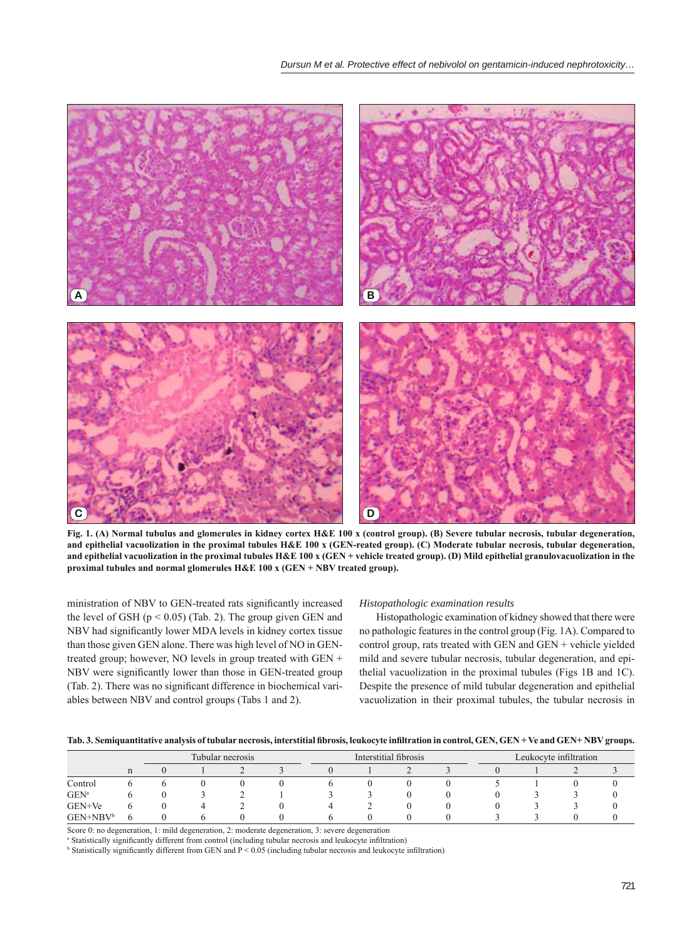

**Fig. 1. (A) Normal tubulus and glomerules in kidney cortex H&E 100 x (control group). (B) Severe tubular necrosis, tubular degeneration, and epithelial vacuolization in the proximal tubules H&E 100 x (GEN-reated group). (C) Moderate tubular necrosis, tubular degeneration, and epithelial vacuolization in the proximal tubules H&E 100 x (GEN + vehicle treated group). (D) Mild epithelial granulovacuolization in the proximal tubules and normal glomerules H&E 100 x (GEN + NBV treated group).**

ministration of NBV to GEN-treated rats significantly increased the level of GSH ( $p < 0.05$ ) (Tab. 2). The group given GEN and NBV had significantly lower MDA levels in kidney cortex tissue than those given GEN alone. There was high level of NO in GENtreated group; however, NO levels in group treated with GEN + NBV were significantly lower than those in GEN-treated group (Tab. 2). There was no significant difference in biochemical variables between NBV and control groups (Tabs 1 and 2).

# *Histopathologic examination results*

Histopathologic examination of kidney showed that there were no pathologic features in the control group (Fig. 1A). Compared to control group, rats treated with GEN and GEN + vehicle yielded mild and severe tubular necrosis, tubular degeneration, and epithelial vacuolization in the proximal tubules (Figs 1B and 1C). Despite the presence of mild tubular degeneration and epithelial vacuolization in their proximal tubules, the tubular necrosis in

|  | Tab. 3. Semiquantitative analysis of tubular necrosis, interstitial fibrosis, leukocyte infiltration in control, GEN, GEN + Ve and GEN+ NBV groups. |  |  |  |  |
|--|-----------------------------------------------------------------------------------------------------------------------------------------------------|--|--|--|--|
|  |                                                                                                                                                     |  |  |  |  |

|                  |   | Tubular necrosis |   |  |  | Interstitial fibrosis |  |  |  | Leukocyte infiltration |  |  |  |
|------------------|---|------------------|---|--|--|-----------------------|--|--|--|------------------------|--|--|--|
|                  | n |                  |   |  |  |                       |  |  |  |                        |  |  |  |
| Control          |   |                  |   |  |  |                       |  |  |  |                        |  |  |  |
| GEN <sup>a</sup> |   |                  |   |  |  |                       |  |  |  |                        |  |  |  |
| $GEN+Ve$         |   |                  |   |  |  |                       |  |  |  |                        |  |  |  |
| $GEN+NBVb$       | h |                  | n |  |  |                       |  |  |  |                        |  |  |  |

Score 0: no degeneration, 1: mild degeneration, 2: moderate degeneration, 3: severe degeneration

<sup>a</sup> Statistically significantly different from control (including tubular necrosis and leukocyte infiltration)

 $\rm{b}$  Statistically significantly different from GEN and P < 0.05 (including tubular necrosis and leukocyte infiltration)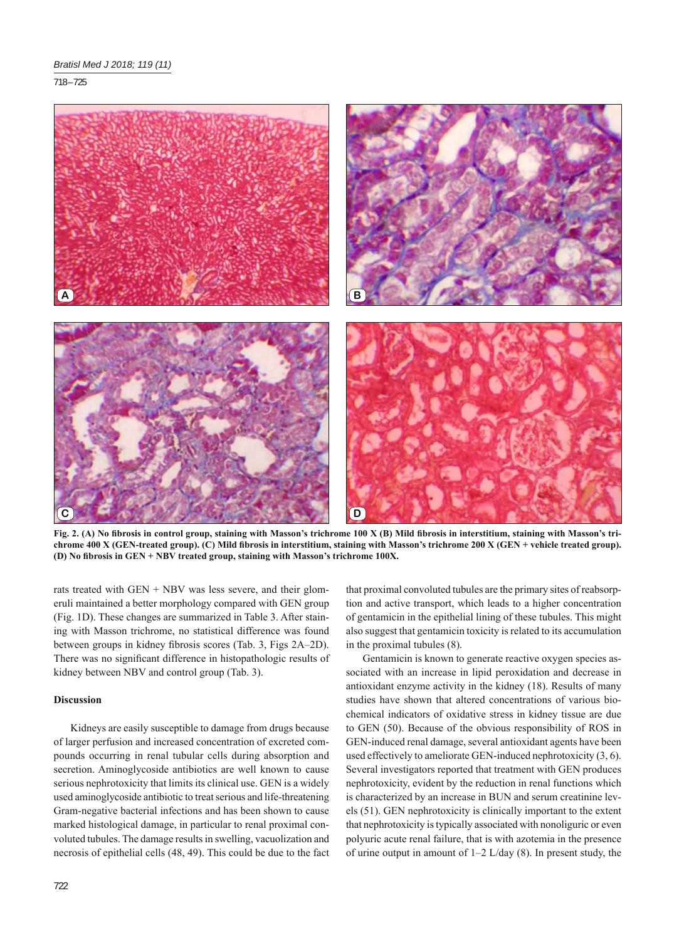718 – 725



Fig. 2. (A) No fibrosis in control group, staining with Masson's trichrome 100 X (B) Mild fibrosis in interstitium, staining with Masson's trichrome 400 X (GEN-treated group). (C) Mild fibrosis in interstitium, staining with Masson's trichrome 200 X (GEN + vehicle treated group). **(D) No fibrosis in GEN + NBV treated group, staining with Masson's trichrome 100X.** 

rats treated with GEN + NBV was less severe, and their glomeruli maintained a better morphology compared with GEN group (Fig. 1D). These changes are summarized in Table 3. After staining with Masson trichrome, no statistical difference was found between groups in kidney fibrosis scores (Tab. 3, Figs 2A–2D). There was no significant difference in histopathologic results of kidney between NBV and control group (Tab. 3).

# **Discussion**

Kidneys are easily susceptible to damage from drugs because of larger perfusion and increased concentration of excreted compounds occurring in renal tubular cells during absorption and secretion. Aminoglycoside antibiotics are well known to cause serious nephrotoxicity that limits its clinical use. GEN is a widely used aminoglycoside antibiotic to treat serious and life-threatening Gram-negative bacterial infections and has been shown to cause marked histological damage, in particular to renal proximal convoluted tubules. The damage results in swelling, vacuolization and necrosis of epithelial cells (48, 49). This could be due to the fact

that proximal convoluted tubules are the primary sites of reabsorption and active transport, which leads to a higher concentration of gentamicin in the epithelial lining of these tubules. This might also suggest that gentamicin toxicity is related to its accumulation in the proximal tubules (8).

Gentamicin is known to generate reactive oxygen species associated with an increase in lipid peroxidation and decrease in antioxidant enzyme activity in the kidney (18). Results of many studies have shown that altered concentrations of various biochemical indicators of oxidative stress in kidney tissue are due to GEN (50). Because of the obvious responsibility of ROS in GEN-induced renal damage, several antioxidant agents have been used effectively to ameliorate GEN-induced nephrotoxicity (3, 6). Several investigators reported that treatment with GEN produces nephrotoxicity, evident by the reduction in renal functions which is characterized by an increase in BUN and serum creatinine levels (51). GEN nephrotoxicity is clinically important to the extent that nephrotoxicity is typically associated with nonoliguric or even polyuric acute renal failure, that is with azotemia in the presence of urine output in amount of 1–2 L/day (8). In present study, the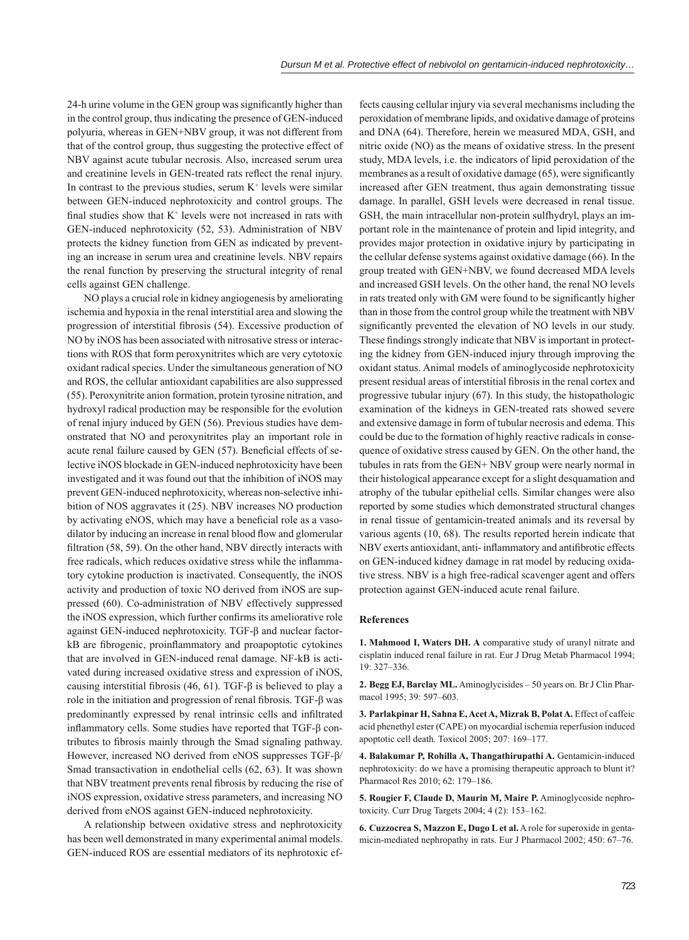24-h urine volume in the GEN group was significantly higher than in the control group, thus indicating the presence of GEN-induced polyuria, whereas in GEN+NBV group, it was not different from that of the control group, thus suggesting the protective effect of NBV against acute tubular necrosis. Also, increased serum urea and creatinine levels in GEN-treated rats reflect the renal injury. In contrast to the previous studies, serum  $K^+$  levels were similar between GEN-induced nephrotoxicity and control groups. The final studies show that  $K^+$  levels were not increased in rats with GEN-induced nephrotoxicity (52, 53). Administration of NBV protects the kidney function from GEN as indicated by preventing an increase in serum urea and creatinine levels. NBV repairs the renal function by preserving the structural integrity of renal cells against GEN challenge.

NO plays a crucial role in kidney angiogenesis by ameliorating ischemia and hypoxia in the renal interstitial area and slowing the progression of interstitial fibrosis (54). Excessive production of NO by iNOS has been associated with nitrosative stress or interactions with ROS that form peroxynitrites which are very cytotoxic oxidant radical species. Under the simultaneous generation of NO and ROS, the cellular antioxidant capabilities are also suppressed (55). Peroxynitrite anion formation, protein tyrosine nitration, and hydroxyl radical production may be responsible for the evolution of renal injury induced by GEN (56). Previous studies have demonstrated that NO and peroxynitrites play an important role in acute renal failure caused by GEN (57). Beneficial effects of selective iNOS blockade in GEN-induced nephrotoxicity have been investigated and it was found out that the inhibition of iNOS may prevent GEN-induced nephrotoxicity, whereas non-selective inhibition of NOS aggravates it (25). NBV increases NO production by activating eNOS, which may have a beneficial role as a vasodilator by inducing an increase in renal blood flow and glomerular filtration (58, 59). On the other hand, NBV directly interacts with free radicals, which reduces oxidative stress while the inflammatory cytokine production is inactivated. Consequently, the iNOS activity and production of toxic NO derived from iNOS are suppressed (60). Co-administration of NBV effectively suppressed the iNOS expression, which further confirms its ameliorative role against GEN-induced nephrotoxicity. TGF-β and nuclear factorkB are fibrogenic, proinflammatory and proapoptotic cytokines that are involved in GEN-induced renal damage. NF-kB is activated during increased oxidative stress and expression of iNOS, causing interstitial fibrosis (46, 61). TGF- $\beta$  is believed to play a role in the initiation and progression of renal fibrosis. TGF-β was predominantly expressed by renal intrinsic cells and infiltrated inflammatory cells. Some studies have reported that  $TGF-\beta$  contributes to fibrosis mainly through the Smad signaling pathway. However, increased NO derived from eNOS suppresses TGF-β/ Smad transactivation in endothelial cells (62, 63). It was shown that NBV treatment prevents renal fibrosis by reducing the rise of iNOS expression, oxidative stress parameters, and increasing NO derived from eNOS against GEN-induced nephrotoxicity.

A relationship between oxidative stress and nephrotoxicity has been well demonstrated in many experimental animal models. GEN-induced ROS are essential mediators of its nephrotoxic ef-

fects causing cellular injury via several mechanisms including the peroxidation of membrane lipids, and oxidative damage of proteins and DNA (64). Therefore, herein we measured MDA, GSH, and nitric oxide (NO) as the means of oxidative stress. In the present study, MDA levels, i.e. the indicators of lipid peroxidation of the membranes as a result of oxidative damage (65), were significantly increased after GEN treatment, thus again demonstrating tissue damage. In parallel, GSH levels were decreased in renal tissue. GSH, the main intracellular non-protein sulfhydryl, plays an important role in the maintenance of protein and lipid integrity, and provides major protection in oxidative injury by participating in the cellular defense systems against oxidative damage (66). In the group treated with GEN+NBV, we found decreased MDA levels and increased GSH levels. On the other hand, the renal NO levels in rats treated only with GM were found to be significantly higher than in those from the control group while the treatment with NBV significantly prevented the elevation of NO levels in our study. These findings strongly indicate that NBV is important in protecting the kidney from GEN-induced injury through improving the oxidant status. Animal models of aminoglycoside nephrotoxicity present residual areas of interstitial fibrosis in the renal cortex and progressive tubular injury (67). In this study, the histopathologic examination of the kidneys in GEN-treated rats showed severe and extensive damage in form of tubular necrosis and edema. This could be due to the formation of highly reactive radicals in consequence of oxidative stress caused by GEN. On the other hand, the tubules in rats from the GEN+ NBV group were nearly normal in their histological appearance except for a slight desquamation and atrophy of the tubular epithelial cells. Similar changes were also reported by some studies which demonstrated structural changes in renal tissue of gentamicin-treated animals and its reversal by various agents (10, 68). The results reported herein indicate that NBV exerts antioxidant, anti- inflammatory and antifibrotic effects on GEN-induced kidney damage in rat model by reducing oxidative stress. NBV is a high free-radical scavenger agent and offers protection against GEN-induced acute renal failure.

#### **References**

**1. Mahmood I, Waters DH. A** comparative study of uranyl nitrate and cisplatin induced renal failure in rat. Eur J Drug Metab Pharmacol 1994; 19: 327–336.

**2. Begg EJ, Barclay ML.** Aminoglycisides – 50 years on. Br J Clin Pharmacol 1995; 39: 597-603.

**3. Parlakpinar H, Sahna E, Acet A, Mizrak B, Polat A.** Effect of caffeic acid phenethyl ester (CAPE) on myocardial ischemia reperfusion induced apoptotic cell death. Toxicol 2005; 207: 169–177.

**4. Balakumar P, Rohilla A, Thangathirupathi A.** Gentamicin-induced nephrotoxicity: do we have a promising therapeutic approach to blunt it? Pharmacol Res 2010; 62: 179–186.

**5. Rougier F, Claude D, Maurin M, Maire P.** Aminoglycoside nephrotoxicity. Curr Drug Targets 2004; 4 (2): 153–162.

**6. Cuzzocrea S, Mazzon E, Dugo L et al.** A role for superoxide in gentamicin-mediated nephropathy in rats. Eur J Pharmacol 2002; 450: 67–76.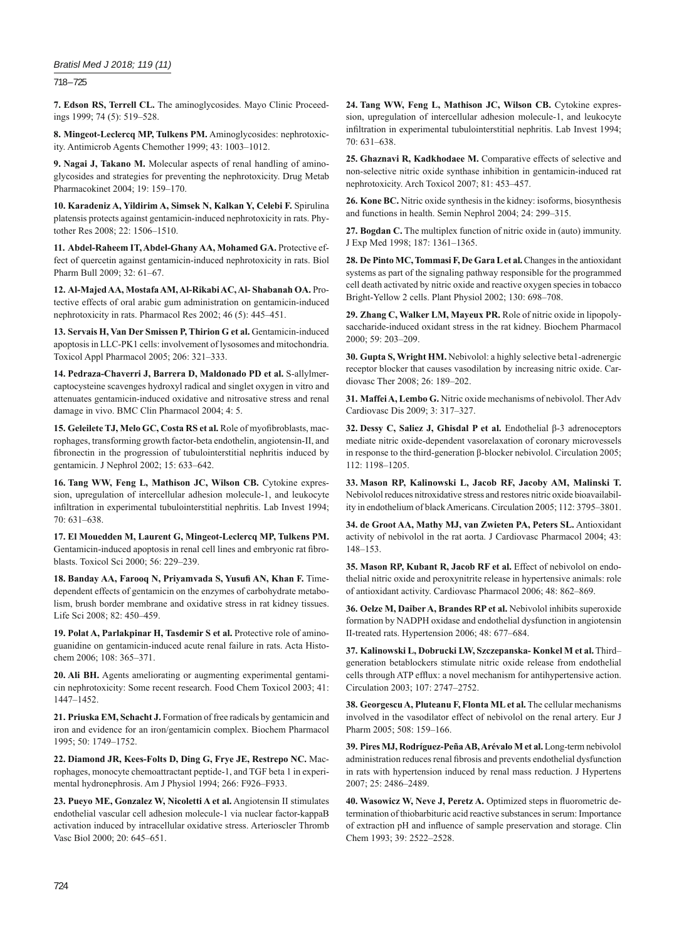## *Bratisl Med J 2018; 119 (11)*

718 – 725

**7. Edson RS, Terrell CL.** The aminoglycosides. Mayo Clinic Proceedings 1999; 74 (5): 519–528.

**8. Mingeot-Leclercq MP, Tulkens PM.** Aminoglycosides: nephrotoxicity. Antimicrob Agents Chemother 1999; 43: 1003–1012.

**9. Nagai J, Takano M.** Molecular aspects of renal handling of aminoglycosides and strategies for preventing the nephrotoxicity. Drug Metab Pharmacokinet 2004; 19: 159–170.

**10. Karadeniz A, Yildirim A, Simsek N, Kalkan Y, Celebi F.** Spirulina platensis protects against gentamicin-induced nephrotoxicity in rats. Phytother Res 2008; 22: 1506–1510.

**11. Abdel-Raheem IT, Abdel-Ghany AA, Mohamed GA.** Protective effect of quercetin against gentamicin-induced nephrotoxicity in rats. Biol Pharm Bull 2009; 32: 61–67.

**12. Al-Majed AA, Mostafa AM, Al-Rikabi AC, Al- Shabanah OA.** Protective effects of oral arabic gum administration on gentamicin-induced nephrotoxicity in rats. Pharmacol Res 2002; 46 (5): 445–451.

**13. Servais H, Van Der Smissen P, Thirion G et al.** Gentamicin-induced apoptosis in LLC-PK1 cells: involvement of lysosomes and mitochondria. Toxicol Appl Pharmacol 2005; 206: 321–333.

**14. Pedraza-Chaverri J, Barrera D, Maldonado PD et al.** S-allylmercaptocysteine scavenges hydroxyl radical and singlet oxygen in vitro and attenuates gentamicin-induced oxidative and nitrosative stress and renal damage in vivo. BMC Clin Pharmacol 2004; 4: 5.

15. Geleilete TJ, Melo GC, Costa RS et al. Role of myofibroblasts, macrophages, transforming growth factor-beta endothelin, angiotensin-II, and fibronectin in the progression of tubulointerstitial nephritis induced by gentamicin. J Nephrol 2002; 15: 633–642.

**16. Tang WW, Feng L, Mathison JC, Wilson CB.** Cytokine expression, upregulation of intercellular adhesion molecule-1, and leukocyte infiltration in experimental tubulointerstitial nephritis. Lab Invest 1994; 70: 631–638.

**17. El Mouedden M, Laurent G, Mingeot-Leclercq MP, Tulkens PM.** Gentamicin-induced apoptosis in renal cell lines and embryonic rat fibroblasts. Toxicol Sci 2000; 56: 229–239.

**18. Banday AA, Farooq N, Priyamvada S, Yusufi AN, Khan F.** Timedependent effects of gentamicin on the enzymes of carbohydrate metabolism, brush border membrane and oxidative stress in rat kidney tissues. Life Sci 2008; 82: 450–459.

**19. Polat A, Parlakpinar H, Tasdemir S et al.** Protective role of aminoguanidine on gentamicin-induced acute renal failure in rats. Acta Histochem 2006; 108: 365–371.

**20. Ali BH.** Agents ameliorating or augmenting experimental gentamicin nephrotoxicity: Some recent research. Food Chem Toxicol 2003; 41: 1447–1452.

**21. Priuska EM, Schacht J.** Formation of free radicals by gentamicin and iron and evidence for an iron/gentamicin complex. Biochem Pharmacol 1995; 50: 1749–1752.

**22. Diamond JR, Kees-Folts D, Ding G, Frye JE, Restrepo NC.** Macrophages, monocyte chemoattractant peptide-1, and TGF beta 1 in experimental hydronephrosis. Am J Physiol 1994; 266: F926–F933.

**23. Pueyo ME, Gonzalez W, Nicoletti A et al.** Angiotensin II stimulates endothelial vascular cell adhesion molecule-1 via nuclear factor-kappaB activation induced by intracellular oxidative stress. Arterioscler Thromb Vasc Biol 2000; 20: 645–651.

**24. Tang WW, Feng L, Mathison JC, Wilson CB.** Cytokine expression, upregulation of intercellular adhesion molecule-1, and leukocyte infiltration in experimental tubulointerstitial nephritis. Lab Invest 1994; 70: 631–638.

**25. Ghaznavi R, Kadkhodaee M.** Comparative effects of selective and non-selective nitric oxide synthase inhibition in gentamicin-induced rat nephrotoxicity. Arch Toxicol 2007; 81: 453–457.

**26. Kone BC.** Nitric oxide synthesis in the kidney: isoforms, biosynthesis and functions in health. Semin Nephrol 2004; 24: 299–315.

**27. Bogdan C.** The multiplex function of nitric oxide in (auto) immunity. J Exp Med 1998; 187: 1361–1365.

28. De Pinto MC, Tommasi F, De Gara L et al. Changes in the antioxidant systems as part of the signaling pathway responsible for the programmed cell death activated by nitric oxide and reactive oxygen species in tobacco Bright-Yellow 2 cells. Plant Physiol 2002; 130: 698–708.

**29. Zhang C, Walker LM, Mayeux PR.** Role of nitric oxide in lipopolysaccharide-induced oxidant stress in the rat kidney. Biochem Pharmacol 2000; 59: 203–209.

**30. Gupta S, Wright HM.** Nebivolol: a highly selective beta1-adrenergic receptor blocker that causes vasodilation by increasing nitric oxide. Cardiovasc Ther 2008; 26: 189–202.

**31. Maffei A, Lembo G.** Nitric oxide mechanisms of nebivolol. Ther Adv Cardiovasc Dis 2009; 3: 317–327.

**32. Dessy C, Saliez J, Ghisdal P et al.** Endothelial β-3 adrenoceptors mediate nitric oxide-dependent vasorelaxation of coronary microvessels in response to the third-generation β-blocker nebivolol. Circulation 2005; 112: 1198–1205.

**33. Mason RP, Kalinowski L, Jacob RF, Jacoby AM, Malinski T.** Nebivolol reduces nitroxidative stress and restores nitric oxide bioavailability in endothelium of black Americans. Circulation 2005; 112: 3795–3801.

**34. de Groot AA, Mathy MJ, van Zwieten PA, Peters SL.** Antioxidant activity of nebivolol in the rat aorta. J Cardiovasc Pharmacol 2004; 43: 148–153.

**35. Mason RP, Kubant R, Jacob RF et al.** Effect of nebivolol on endothelial nitric oxide and peroxynitrite release in hypertensive animals: role of antioxidant activity. Cardiovasc Pharmacol 2006; 48: 862–869.

**36. Oelze M, Daiber A, Brandes RP et al.** Nebivolol inhibits superoxide formation by NADPH oxidase and endothelial dysfunction in angiotensin II-treated rats. Hypertension 2006; 48: 677–684.

**37. Kalinowski L, Dobrucki LW, Szczepanska- Konkel M et al.** Third– generation betablockers stimulate nitric oxide release from endothelial cells through ATP efflux: a novel mechanism for antihypertensive action. Circulation 2003; 107: 2747–2752.

**38. Georgescu A, Pluteanu F, Flonta ML et al.** The cellular mechanisms involved in the vasodilator effect of nebivolol on the renal artery. Eur J Pharm 2005; 508: 159–166.

**39. Pires MJ, Rodríguez-Peña AB, Arévalo M et al.** Long-term nebivolol administration reduces renal fibrosis and prevents endothelial dysfunction in rats with hypertension induced by renal mass reduction. J Hypertens 2007; 25: 2486–2489.

40. Wasowicz W, Neve J, Peretz A. Optimized steps in fluorometric determination of thiobarbituric acid reactive substances in serum: Importance of extraction pH and influence of sample preservation and storage. Clin Chem 1993; 39: 2522–2528.